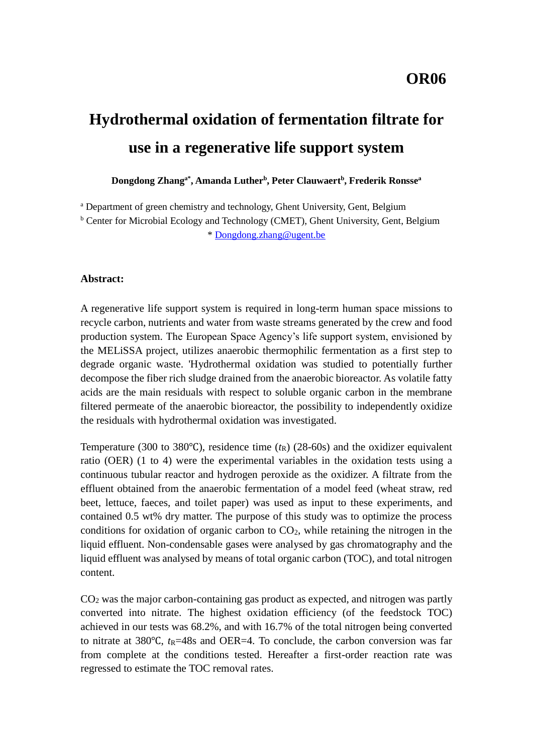# **Hydrothermal oxidation of fermentation filtrate for use in a regenerative life support system**

**Dongdong Zhanga\* , Amanda Luther<sup>b</sup> , Peter Clauwaert<sup>b</sup> , Frederik Ronsse<sup>a</sup>**

<sup>a</sup> Department of green chemistry and technology, Ghent University, Gent, Belgium

<sup>b</sup> Center for Microbial Ecology and Technology (CMET), Ghent University, Gent, Belgium \* [Dongdong.zhang@ugent.be](mailto:Dongdong.zhang@ugent.be)

#### **Abstract:**

A regenerative life support system is required in long-term human space missions to recycle carbon, nutrients and water from waste streams generated by the crew and food production system. The European Space Agency's life support system, envisioned by the MELiSSA project, utilizes anaerobic thermophilic fermentation as a first step to degrade organic waste. 'Hydrothermal oxidation was studied to potentially further decompose the fiber rich sludge drained from the anaerobic bioreactor. As volatile fatty acids are the main residuals with respect to soluble organic carbon in the membrane filtered permeate of the anaerobic bioreactor, the possibility to independently oxidize the residuals with hydrothermal oxidation was investigated.

Temperature (300 to 380°C), residence time  $(t_R)$  (28-60s) and the oxidizer equivalent ratio (OER) (1 to 4) were the experimental variables in the oxidation tests using a continuous tubular reactor and hydrogen peroxide as the oxidizer. A filtrate from the effluent obtained from the anaerobic fermentation of a model feed (wheat straw, red beet, lettuce, faeces, and toilet paper) was used as input to these experiments, and contained 0.5 wt% dry matter. The purpose of this study was to optimize the process conditions for oxidation of organic carbon to  $CO<sub>2</sub>$ , while retaining the nitrogen in the liquid effluent. Non-condensable gases were analysed by gas chromatography and the liquid effluent was analysed by means of total organic carbon (TOC), and total nitrogen content.

CO<sup>2</sup> was the major carbon-containing gas product as expected, and nitrogen was partly converted into nitrate. The highest oxidation efficiency (of the feedstock TOC) achieved in our tests was 68.2%, and with 16.7% of the total nitrogen being converted to nitrate at 380°C, *t*<sub>R</sub>=48s</sub> and OER=4. To conclude, the carbon conversion was far from complete at the conditions tested. Hereafter a first-order reaction rate was regressed to estimate the TOC removal rates.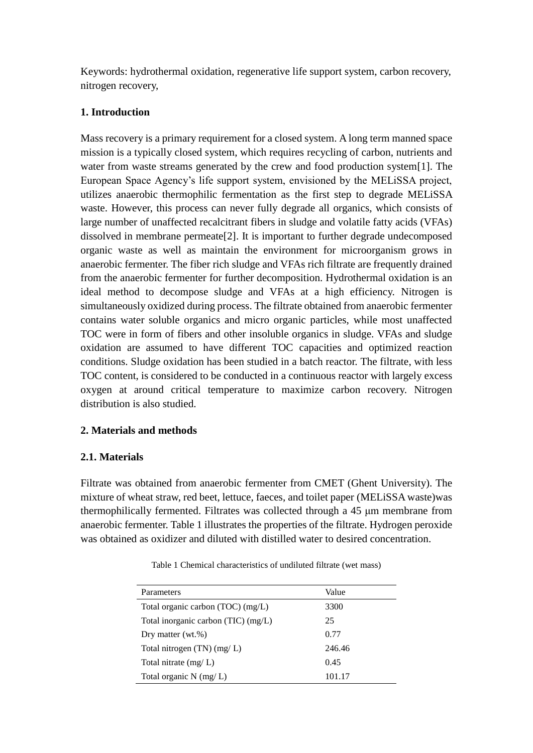Keywords: hydrothermal oxidation, regenerative life support system, carbon recovery, nitrogen recovery,

## **1. Introduction**

Mass recovery is a primary requirement for a closed system. A long term manned space mission is a typically closed system, which requires recycling of carbon, nutrients and water from waste streams generated by the crew and food production system[1]. The European Space Agency's life support system, envisioned by the MELiSSA project, utilizes anaerobic thermophilic fermentation as the first step to degrade MELiSSA waste. However, this process can never fully degrade all organics, which consists of large number of unaffected recalcitrant fibers in sludge and volatile fatty acids (VFAs) dissolved in membrane permeate[2]. It is important to further degrade undecomposed organic waste as well as maintain the environment for microorganism grows in anaerobic fermenter. The fiber rich sludge and VFAs rich filtrate are frequently drained from the anaerobic fermenter for further decomposition. Hydrothermal oxidation is an ideal method to decompose sludge and VFAs at a high efficiency. Nitrogen is simultaneously oxidized during process. The filtrate obtained from anaerobic fermenter contains water soluble organics and micro organic particles, while most unaffected TOC were in form of fibers and other insoluble organics in sludge. VFAs and sludge oxidation are assumed to have different TOC capacities and optimized reaction conditions. Sludge oxidation has been studied in a batch reactor. The filtrate, with less TOC content, is considered to be conducted in a continuous reactor with largely excess oxygen at around critical temperature to maximize carbon recovery. Nitrogen distribution is also studied.

# **2. Materials and methods**

# **2.1. Materials**

Filtrate was obtained from anaerobic fermenter from CMET (Ghent University). The mixture of wheat straw, red beet, lettuce, faeces, and toilet paper (MELiSSA waste)was thermophilically fermented. Filtrates was collected through a 45 μm membrane from anaerobic fermenter. Table 1 illustrates the properties of the filtrate. Hydrogen peroxide was obtained as oxidizer and diluted with distilled water to desired concentration.

| Table 1 Chemical characteristics of undiluted filtrate (wet mass) |  |
|-------------------------------------------------------------------|--|
|-------------------------------------------------------------------|--|

| Parameters                          | Value  |
|-------------------------------------|--------|
| Total organic carbon (TOC) (mg/L)   | 3300   |
| Total inorganic carbon (TIC) (mg/L) | 25     |
| Dry matter $(wt.\%)$                | 0.77   |
| Total nitrogen $(TN)$ (mg/L)        | 246.46 |
| Total nitrate $(mg/L)$              | 0.45   |
| Total organic $N$ (mg/L)            | 101.17 |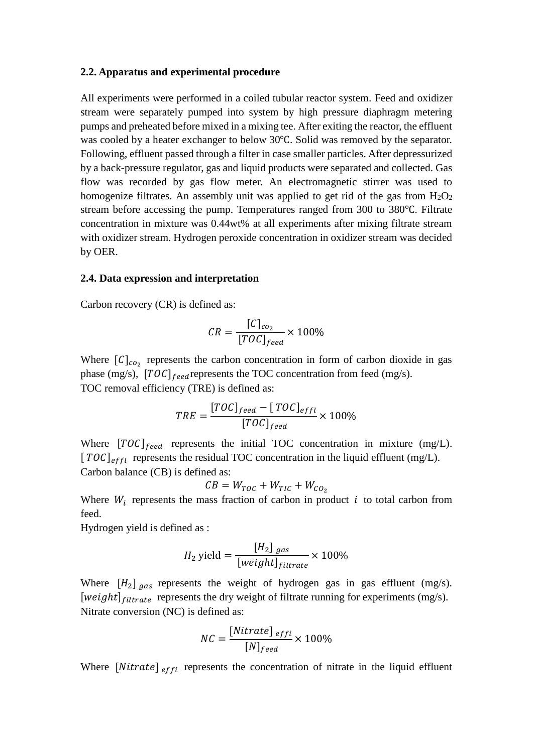#### **2.2. Apparatus and experimental procedure**

All experiments were performed in a coiled tubular reactor system. Feed and oxidizer stream were separately pumped into system by high pressure diaphragm metering pumps and preheated before mixed in a mixing tee. After exiting the reactor, the effluent was cooled by a heater exchanger to below 30℃. Solid was removed by the separator. Following, effluent passed through a filter in case smaller particles. After depressurized by a back-pressure regulator, gas and liquid products were separated and collected. Gas flow was recorded by gas flow meter. An electromagnetic stirrer was used to homogenize filtrates. An assembly unit was applied to get rid of the gas from  $H_2O_2$ stream before accessing the pump. Temperatures ranged from 300 to 380°C. Filtrate concentration in mixture was 0.44wt% at all experiments after mixing filtrate stream with oxidizer stream. Hydrogen peroxide concentration in oxidizer stream was decided by OER.

#### **2.4. Data expression and interpretation**

Carbon recovery (CR) is defined as:

$$
CR = \frac{[C]_{co_2}}{[TOC]_{feed}} \times 100\%
$$

Where  $[C]_{co_2}$  represents the carbon concentration in form of carbon dioxide in gas phase (mg/s),  $[TOC]_{feed}$  represents the TOC concentration from feed (mg/s). TOC removal efficiency (TRE) is defined as:

$$
TRE = \frac{[TOC]_{feed} - [TOC]_{effl}}{[TOC]_{feed}} \times 100\%
$$

Where  $[TOC]_{feed}$  represents the initial TOC concentration in mixture (mg/L).  $[TOC]_{effl}$  represents the residual TOC concentration in the liquid effluent (mg/L). Carbon balance (CB) is defined as:

$$
CB = W_{TOC} + W_{TIC} + W_{CO_2}
$$

Where  $W_i$  represents the mass fraction of carbon in product  $i$  to total carbon from feed.

Hydrogen yield is defined as :

$$
H_2 \text{ yield} = \frac{[H_2]}{[weight]_{filterate}} \times 100\%
$$

Where  $[H_2]_{gas}$  represents the weight of hydrogen gas in gas effluent (mg/s). [weight] $_{filtrate}$  represents the dry weight of filtrate running for experiments (mg/s). Nitrate conversion (NC) is defined as:

$$
NC = \frac{[Nitrate]_{effi}}{[N]_{feed}} \times 100\%
$$

Where  $[Nitrate]$ <sub>effi</sub> represents the concentration of nitrate in the liquid effluent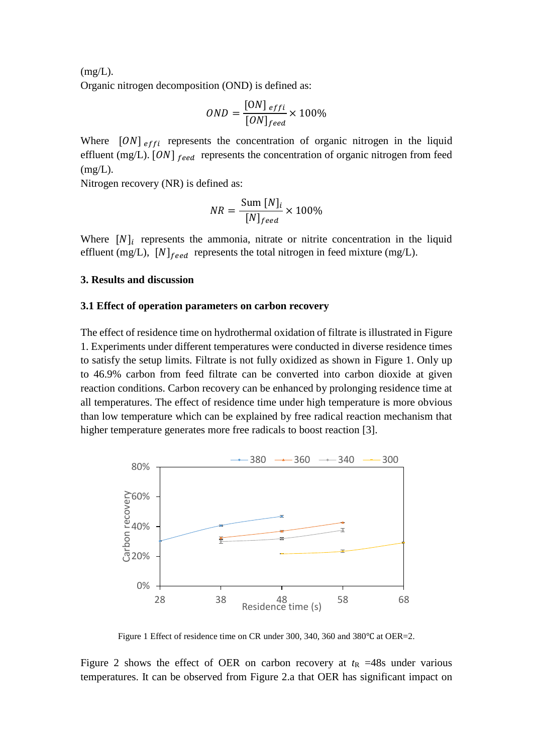$(mg/L)$ . Organic nitrogen decomposition (OND) is defined as:

$$
OND = \frac{[ON]_{effi}}{[ON]_{feed}} \times 100\%
$$

Where  $[ON]$ <sub>effi</sub> represents the concentration of organic nitrogen in the liquid effluent (mg/L).  $[ON]_{feed}$  represents the concentration of organic nitrogen from feed  $(mg/L)$ .

Nitrogen recovery (NR) is defined as:

$$
NR = \frac{\text{Sum}[N]_i}{[N]_{feed}} \times 100\%
$$

Where  $[N]_i$  represents the ammonia, nitrate or nitrite concentration in the liquid effluent (mg/L),  $[N]_{feed}$  represents the total nitrogen in feed mixture (mg/L).

## **3. Results and discussion**

## **3.1 Effect of operation parameters on carbon recovery**

The effect of residence time on hydrothermal oxidation of filtrate is illustrated in [Figure](#page-3-0)  [1.](#page-3-0) Experiments under different temperatures were conducted in diverse residence times to satisfy the setup limits. Filtrate is not fully oxidized as shown in [Figure 1.](#page-3-0) Only up to 46.9% carbon from feed filtrate can be converted into carbon dioxide at given reaction conditions. Carbon recovery can be enhanced by prolonging residence time at all temperatures. The effect of residence time under high temperature is more obvious than low temperature which can be explained by free radical reaction mechanism that higher temperature generates more free radicals to boost reaction [3].



Figure 1 Effect of residence time on CR under 300, 340, 360 and 380℃ at OER=2.

<span id="page-3-0"></span>[Figure 2](#page-4-0) shows the effect of OER on carbon recovery at  $t<sub>R</sub>$  =48s under various temperatures. It can be observed from [Figure 2.](#page-4-0)a that OER has significant impact on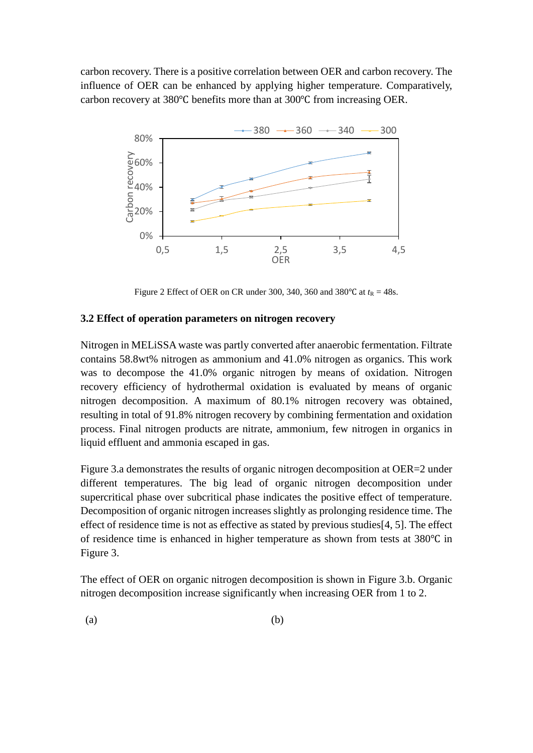carbon recovery. There is a positive correlation between OER and carbon recovery. The influence of OER can be enhanced by applying higher temperature. Comparatively, carbon recovery at 380℃ benefits more than at 300℃ from increasing OER.



Figure 2 Effect of OER on CR under 300, 340, 360 and 380 °C at  $t_R = 48s$ .

## <span id="page-4-0"></span>**3.2 Effect of operation parameters on nitrogen recovery**

Nitrogen in MELiSSA waste was partly converted after anaerobic fermentation. Filtrate contains 58.8wt% nitrogen as ammonium and 41.0% nitrogen as organics. This work was to decompose the 41.0% organic nitrogen by means of oxidation. Nitrogen recovery efficiency of hydrothermal oxidation is evaluated by means of organic nitrogen decomposition. A maximum of 80.1% nitrogen recovery was obtained, resulting in total of 91.8% nitrogen recovery by combining fermentation and oxidation process. Final nitrogen products are nitrate, ammonium, few nitrogen in organics in liquid effluent and ammonia escaped in gas.

[Figure 3.](#page-5-0)a demonstrates the results of organic nitrogen decomposition at OER=2 under different temperatures. The big lead of organic nitrogen decomposition under supercritical phase over subcritical phase indicates the positive effect of temperature. Decomposition of organic nitrogen increases slightly as prolonging residence time. The effect of residence time is not as effective as stated by previous studies[4, 5]. The effect of residence time is enhanced in higher temperature as shown from tests at 380℃ in [Figure 3.](#page-5-0)

The effect of OER on organic nitrogen decomposition is shown in [Figure 3.](#page-5-0)b. Organic nitrogen decomposition increase significantly when increasing OER from 1 to 2.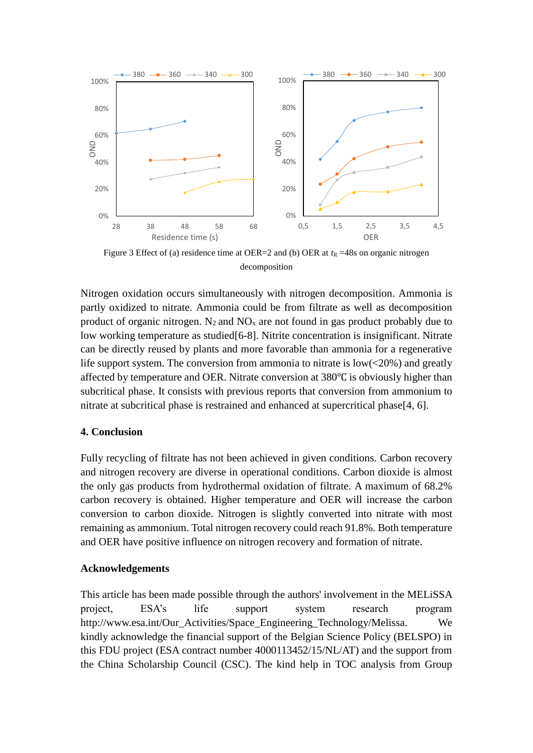

<span id="page-5-0"></span>Figure 3 Effect of (a) residence time at OER=2 and (b) OER at  $t<sub>R</sub> = 48$ s on organic nitrogen decomposition

Nitrogen oxidation occurs simultaneously with nitrogen decomposition. Ammonia is partly oxidized to nitrate. Ammonia could be from filtrate as well as decomposition product of organic nitrogen.  $N_2$  and  $NO_x$  are not found in gas product probably due to low working temperature as studied[6-8]. Nitrite concentration is insignificant. Nitrate can be directly reused by plants and more favorable than ammonia for a regenerative life support system. The conversion from ammonia to nitrate is  $low( $20\%$ )$  and greatly affected by temperature and OER. Nitrate conversion at 380℃ is obviously higher than subcritical phase. It consists with previous reports that conversion from ammonium to nitrate at subcritical phase is restrained and enhanced at supercritical phase[4, 6].

## **4. Conclusion**

Fully recycling of filtrate has not been achieved in given conditions. Carbon recovery and nitrogen recovery are diverse in operational conditions. Carbon dioxide is almost the only gas products from hydrothermal oxidation of filtrate. A maximum of 68.2% carbon recovery is obtained. Higher temperature and OER will increase the carbon conversion to carbon dioxide. Nitrogen is slightly converted into nitrate with most remaining as ammonium. Total nitrogen recovery could reach 91.8%. Both temperature and OER have positive influence on nitrogen recovery and formation of nitrate.

## **Acknowledgements**

This article has been made possible through the authors' involvement in the MELiSSA project, ESA's life support system research program http://www.esa.int/Our\_Activities/Space\_Engineering\_Technology/Melissa. We kindly acknowledge the financial support of the Belgian Science Policy (BELSPO) in this FDU project (ESA contract number 4000113452/15/NL/AT) and the support from the China Scholarship Council (CSC). The kind help in TOC analysis from Group